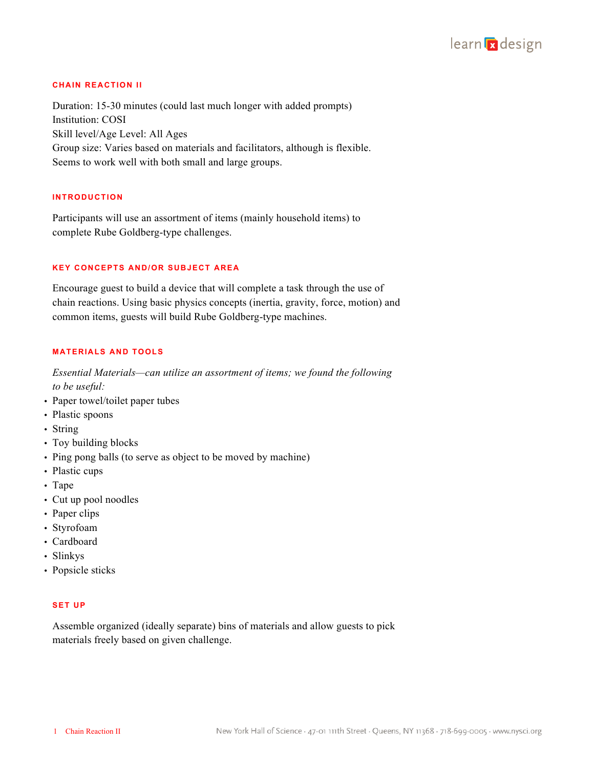

# **CHAIN REACTION II**

Duration: 15-30 minutes (could last much longer with added prompts) Institution: COSI Skill level/Age Level: All Ages Group size: Varies based on materials and facilitators, although is flexible. Seems to work well with both small and large groups.

# **INTRODUCTION**

Participants will use an assortment of items (mainly household items) to complete Rube Goldberg-type challenges.

# **KEY CONCEPTS AND/OR SUBJECT AREA**

Encourage guest to build a device that will complete a task through the use of chain reactions. Using basic physics concepts (inertia, gravity, force, motion) and common items, guests will build Rube Goldberg-type machines.

### **MATERIALS AND TOOLS**

*Essential Materials—can utilize an assortment of items; we found the following to be useful:*

- Paper towel/toilet paper tubes
- Plastic spoons
- String
- Toy building blocks
- Ping pong balls (to serve as object to be moved by machine)
- Plastic cups
- Tape
- Cut up pool noodles
- Paper clips
- Styrofoam
- Cardboard
- Slinkys
- Popsicle sticks

# **SET UP**

Assemble organized (ideally separate) bins of materials and allow guests to pick materials freely based on given challenge.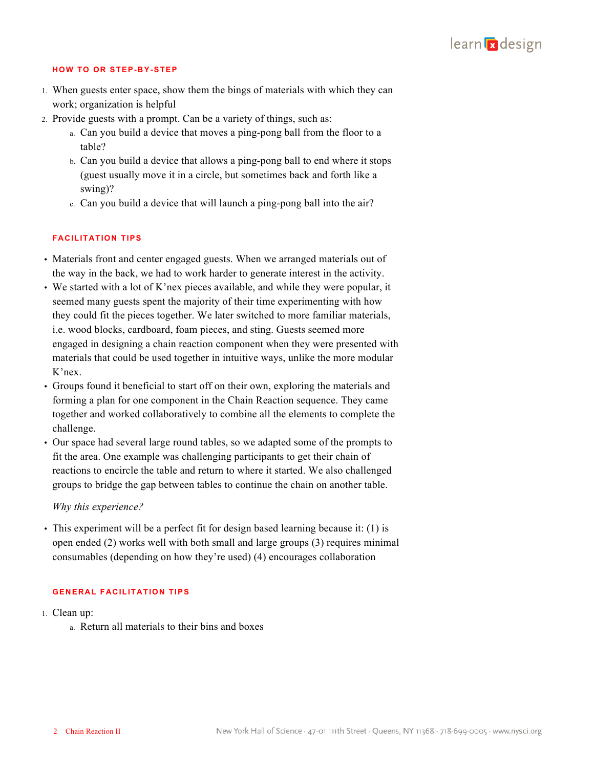

#### **HOW TO OR STEP-BY-STEP**

- 1. When guests enter space, show them the bings of materials with which they can work; organization is helpful
- 2. Provide guests with a prompt. Can be a variety of things, such as:
	- a. Can you build a device that moves a ping-pong ball from the floor to a table?
	- b. Can you build a device that allows a ping-pong ball to end where it stops (guest usually move it in a circle, but sometimes back and forth like a swing)?
	- c. Can you build a device that will launch a ping-pong ball into the air?

#### **FACILITATION TIPS**

- Materials front and center engaged guests. When we arranged materials out of the way in the back, we had to work harder to generate interest in the activity.
- We started with a lot of K'nex pieces available, and while they were popular, it seemed many guests spent the majority of their time experimenting with how they could fit the pieces together. We later switched to more familiar materials, i.e. wood blocks, cardboard, foam pieces, and sting. Guests seemed more engaged in designing a chain reaction component when they were presented with materials that could be used together in intuitive ways, unlike the more modular K'nex.
- Groups found it beneficial to start off on their own, exploring the materials and forming a plan for one component in the Chain Reaction sequence. They came together and worked collaboratively to combine all the elements to complete the challenge.
- Our space had several large round tables, so we adapted some of the prompts to fit the area. One example was challenging participants to get their chain of reactions to encircle the table and return to where it started. We also challenged groups to bridge the gap between tables to continue the chain on another table.

# *Why this experience?*

• This experiment will be a perfect fit for design based learning because it: (1) is open ended (2) works well with both small and large groups (3) requires minimal consumables (depending on how they're used) (4) encourages collaboration

### **GENERAL FACILITATION TIPS**

- 1. Clean up:
	- a. Return all materials to their bins and boxes